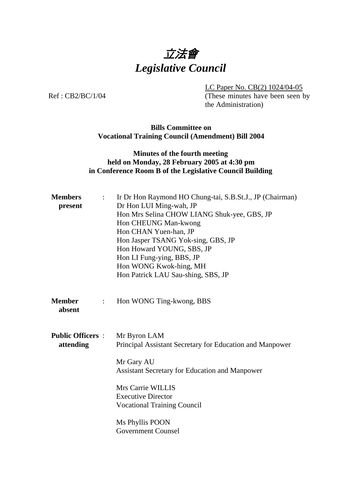

LC Paper No. CB(2) 1024/04-05

Ref: CB2/BC/1/04 (These minutes have been seen by the Administration)

#### **Bills Committee on Vocational Training Council (Amendment) Bill 2004**

# **Minutes of the fourth meeting held on Monday, 28 February 2005 at 4:30 pm in Conference Room B of the Legislative Council Building**

| <b>Members</b><br>present                 | Ir Dr Hon Raymond HO Chung-tai, S.B.St.J., JP (Chairman)<br>$\mathbb{R}^{\mathbb{Z}}$<br>Dr Hon LUI Ming-wah, JP<br>Hon Mrs Selina CHOW LIANG Shuk-yee, GBS, JP<br>Hon CHEUNG Man-kwong<br>Hon CHAN Yuen-han, JP<br>Hon Jasper TSANG Yok-sing, GBS, JP<br>Hon Howard YOUNG, SBS, JP<br>Hon LI Fung-ying, BBS, JP<br>Hon WONG Kwok-hing, MH<br>Hon Patrick LAU Sau-shing, SBS, JP |
|-------------------------------------------|----------------------------------------------------------------------------------------------------------------------------------------------------------------------------------------------------------------------------------------------------------------------------------------------------------------------------------------------------------------------------------|
| <b>Member</b><br>$\ddot{\cdot}$<br>absent | Hon WONG Ting-kwong, BBS                                                                                                                                                                                                                                                                                                                                                         |
| <b>Public Officers:</b><br>attending      | Mr Byron LAM<br>Principal Assistant Secretary for Education and Manpower<br>Mr Gary AU<br><b>Assistant Secretary for Education and Manpower</b><br>Mrs Carrie WILLIS<br><b>Executive Director</b><br><b>Vocational Training Council</b><br>Ms Phyllis POON<br><b>Government Counsel</b>                                                                                          |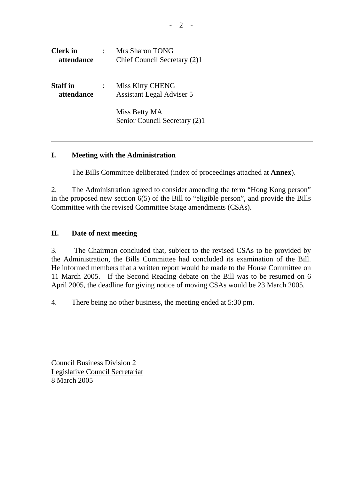| <b>Clerk</b> in<br>attendance | Mrs Sharon TONG<br>Chief Council Secretary (2)1             |
|-------------------------------|-------------------------------------------------------------|
| <b>Staff</b> in<br>attendance | <b>Miss Kitty CHENG</b><br><b>Assistant Legal Adviser 5</b> |
|                               | Miss Betty MA<br>Senior Council Secretary (2)1              |

## **I. Meeting with the Administration**

The Bills Committee deliberated (index of proceedings attached at **Annex**).

2. The Administration agreed to consider amending the term "Hong Kong person" in the proposed new section 6(5) of the Bill to "eligible person", and provide the Bills Committee with the revised Committee Stage amendments (CSAs).

## **II. Date of next meeting**

3. The Chairman concluded that, subject to the revised CSAs to be provided by the Administration, the Bills Committee had concluded its examination of the Bill. He informed members that a written report would be made to the House Committee on 11 March 2005. If the Second Reading debate on the Bill was to be resumed on 6 April 2005, the deadline for giving notice of moving CSAs would be 23 March 2005.

4. There being no other business, the meeting ended at 5:30 pm.

Council Business Division 2 Legislative Council Secretariat 8 March 2005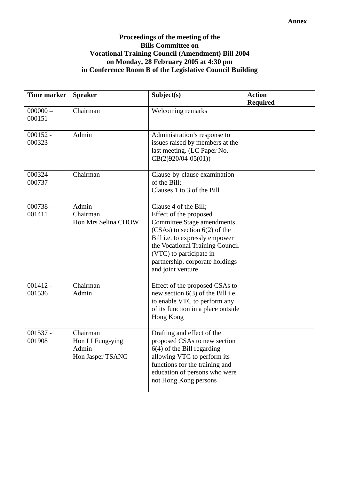## **Proceedings of the meeting of the Bills Committee on Vocational Training Council (Amendment) Bill 2004 on Monday, 28 February 2005 at 4:30 pm in Conference Room B of the Legislative Council Building**

| <b>Time marker</b>   | <b>Speaker</b>                                            | Subject(s)                                                                                                                                                                                                                                                                               | <b>Action</b><br><b>Required</b> |
|----------------------|-----------------------------------------------------------|------------------------------------------------------------------------------------------------------------------------------------------------------------------------------------------------------------------------------------------------------------------------------------------|----------------------------------|
| $000000 -$<br>000151 | Chairman                                                  | Welcoming remarks                                                                                                                                                                                                                                                                        |                                  |
| $000152 -$<br>000323 | Admin                                                     | Administration's response to<br>issues raised by members at the<br>last meeting. (LC Paper No.<br>$CB(2)920/04-05(01))$                                                                                                                                                                  |                                  |
| $000324 -$<br>000737 | Chairman                                                  | Clause-by-clause examination<br>of the Bill;<br>Clauses 1 to 3 of the Bill                                                                                                                                                                                                               |                                  |
| $000738 -$<br>001411 | Admin<br>Chairman<br>Hon Mrs Selina CHOW                  | Clause 4 of the Bill;<br>Effect of the proposed<br><b>Committee Stage amendments</b><br>$(CSAs)$ to section $6(2)$ of the<br>Bill <i>i.e.</i> to expressly empower<br>the Vocational Training Council<br>(VTC) to participate in<br>partnership, corporate holdings<br>and joint venture |                                  |
| $001412 -$<br>001536 | Chairman<br>Admin                                         | Effect of the proposed CSAs to<br>new section $6(3)$ of the Bill i.e.<br>to enable VTC to perform any<br>of its function in a place outside<br>Hong Kong                                                                                                                                 |                                  |
| $001537 -$<br>001908 | Chairman<br>Hon LI Fung-ying<br>Admin<br>Hon Jasper TSANG | Drafting and effect of the<br>proposed CSAs to new section<br>$6(4)$ of the Bill regarding<br>allowing VTC to perform its<br>functions for the training and<br>education of persons who were<br>not Hong Kong persons                                                                    |                                  |